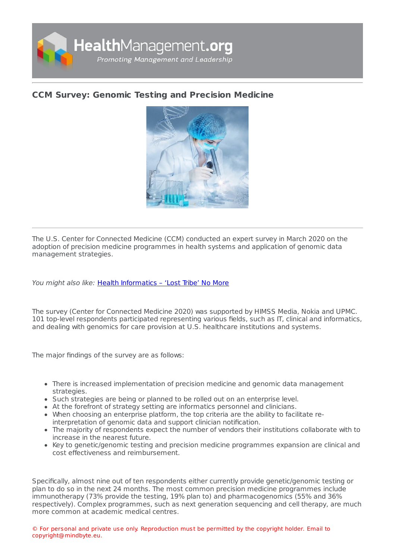

## **CCM Survey: Genomic Testing and [Precision](https://healthmanagement.org/s/ccm-survey-genomic-testing-and-precision-medicine) Medicine**



The U.S. Center for Connected Medicine (CCM) conducted an expert survey in March 2020 on the adoption of precision medicine programmes in health systems and application of genomic data management strategies.

You might also like: Health [Informatics](https://healthmanagement.org/c/healthmanagement/issuearticle/health-informatics-lost-tribe-no-more) - 'Lost Tribe' No More

The survey (Center for Connected Medicine 2020) was supported by HIMSS Media, Nokia and UPMC. 101 top-level respondents participated representing various fields, such as IT, clinical and informatics, and dealing with genomics for care provision at U.S. healthcare institutions and systems.

The major findings of the survey are as follows:

- There is increased implementation of precision medicine and genomic data management strategies.
- Such strategies are being or planned to be rolled out on an enterprise level.
- At the forefront of strategy setting are informatics personnel and clinicians.
- When choosing an enterprise platform, the top criteria are the ability to facilitate reinterpretation of genomic data and support clinician notification.
- The majority of respondents expect the number of vendors their institutions collaborate with to increase in the nearest future.
- Key to genetic/genomic testing and precision medicine programmes expansion are clinical and cost effectiveness and reimbursement.

Specifically, almost nine out of ten respondents either currently provide genetic/genomic testing or plan to do so in the next 24 months. The most common precision medicine programmes include immunotherapy (73% provide the testing, 19% plan to) and pharmacogenomics (55% and 36% respectively). Complex programmes, such as next generation sequencing and cell therapy, are much more common at academic medical centres.

© For personal and private use only. Reproduction must be permitted by the copyright holder. Email to copyright@mindbyte.eu.